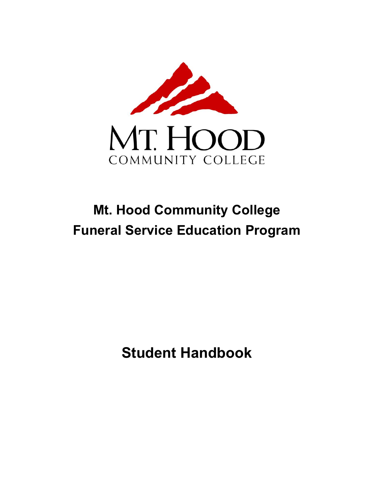

# **Mt. Hood Community College Funeral Service Education Program**

**Student Handbook**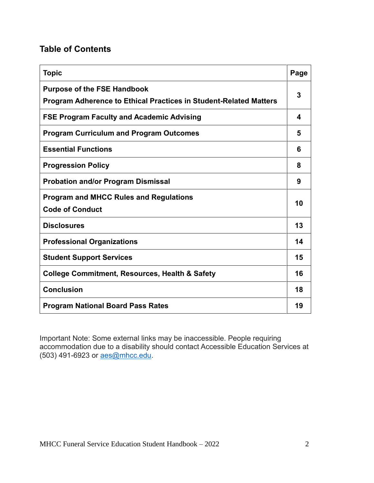# **Table of Contents**

| <b>Topic</b>                                                                                                   | Page |
|----------------------------------------------------------------------------------------------------------------|------|
| <b>Purpose of the FSE Handbook</b><br><b>Program Adherence to Ethical Practices in Student-Related Matters</b> | 3    |
| <b>FSE Program Faculty and Academic Advising</b>                                                               | 4    |
| <b>Program Curriculum and Program Outcomes</b>                                                                 | 5    |
| <b>Essential Functions</b>                                                                                     | 6    |
| <b>Progression Policy</b>                                                                                      | 8    |
| <b>Probation and/or Program Dismissal</b>                                                                      | 9    |
| <b>Program and MHCC Rules and Regulations</b><br><b>Code of Conduct</b>                                        | 10   |
| <b>Disclosures</b>                                                                                             | 13   |
| <b>Professional Organizations</b>                                                                              | 14   |
| <b>Student Support Services</b>                                                                                | 15   |
| <b>College Commitment, Resources, Health &amp; Safety</b>                                                      | 16   |
| <b>Conclusion</b>                                                                                              | 18   |
| <b>Program National Board Pass Rates</b>                                                                       | 19   |

Important Note: Some external links may be inaccessible. People requiring accommodation due to a disability should contact Accessible Education Services at (503) 491-6923 or **aes@mhcc.edu**.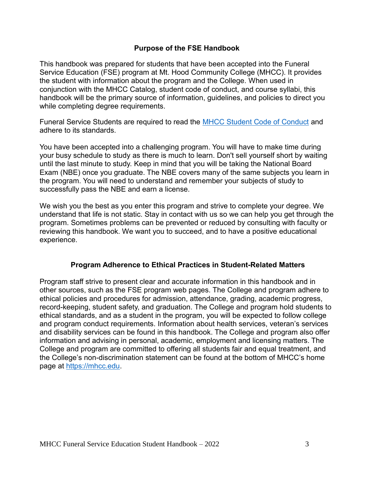#### **Purpose of the FSE Handbook**

This handbook was prepared for students that have been accepted into the Funeral Service Education (FSE) program at Mt. Hood Community College (MHCC). It provides the student with information about the program and the College. When used in conjunction with the MHCC Catalog, student code of conduct, and course syllabi, this handbook will be the primary source of information, guidelines, and policies to direct you while completing degree requirements.

Funeral Service Students are required to read the [MHCC Student Code of Conduct](https://www.mhcc.edu/coc/) and adhere to its standards.

You have been accepted into a challenging program. You will have to make time during your busy schedule to study as there is much to learn. Don't sell yourself short by waiting until the last minute to study. Keep in mind that you will be taking the National Board Exam (NBE) once you graduate. The NBE covers many of the same subjects you learn in the program. You will need to understand and remember your subjects of study to successfully pass the NBE and earn a license.

We wish you the best as you enter this program and strive to complete your degree. We understand that life is not static. Stay in contact with us so we can help you get through the program. Sometimes problems can be prevented or reduced by consulting with faculty or reviewing this handbook. We want you to succeed, and to have a positive educational experience.

#### **Program Adherence to Ethical Practices in Student-Related Matters**

Program staff strive to present clear and accurate information in this handbook and in other sources, such as the FSE program web pages. The College and program adhere to ethical policies and procedures for admission, attendance, grading, academic progress, record-keeping, student safety, and graduation. The College and program hold students to ethical standards, and as a student in the program, you will be expected to follow college and program conduct requirements. Information about health services, veteran's services and disability services can be found in this handbook. The College and program also offer information and advising in personal, academic, employment and licensing matters. The College and program are committed to offering all students fair and equal treatment, and the College's non-discrimination statement can be found at the bottom of MHCC's home page at [https://mhcc.edu.](https://mhcc.edu/)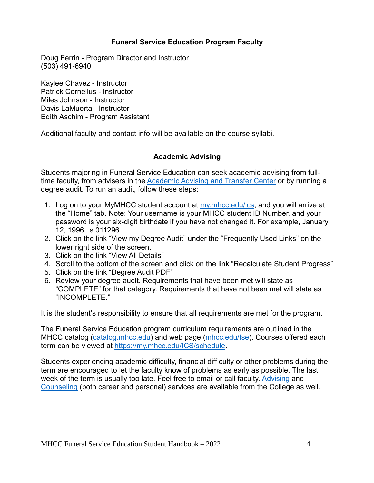#### **Funeral Service Education Program Faculty**

Doug Ferrin - Program Director and Instructor (503) 491-6940

Kaylee Chavez - Instructor Patrick Cornelius - Instructor Miles Johnson - Instructor Davis LaMuerta - Instructor Edith Aschim - Program Assistant

Additional faculty and contact info will be available on the course syllabi.

#### **Academic Advising**

Students majoring in Funeral Service Education can seek academic advising from fulltime faculty, from advisers in the **Academic Advising and Transfer Center** or by running a degree audit. To run an audit, follow these steps:

- 1. Log on to your MyMHCC student account at my mhcc.edu/ics, and you will arrive at the "Home" tab. Note: Your username is your MHCC student ID Number, and your password is your six-digit birthdate if you have not changed it. For example, January 12, 1996, is 011296.
- 2. Click on the link "View my Degree Audit" under the "Frequently Used Links" on the lower right side of the screen.
- 3. Click on the link "View All Details"
- 4. Scroll to the bottom of the screen and click on the link "Recalculate Student Progress"
- 5. Click on the link "Degree Audit PDF"
- 6. Review your degree audit. Requirements that have been met will state as "COMPLETE" for that category. Requirements that have not been met will state as "INCOMPLETE."

It is the student's responsibility to ensure that all requirements are met for the program.

The Funeral Service Education program curriculum requirements are outlined in the MHCC catalog [\(catalog.mhcc.edu\)](http://catalog.mhcc.edu/) and web page [\(mhcc.edu/fse\)](http://www.mhcc.edu/fse). Courses offered each term can be viewed at [https://my.mhcc.edu/ICS/schedule.](https://my.mhcc.edu/ICS/schedule)

Students experiencing academic difficulty, financial difficulty or other problems during the term are encouraged to let the faculty know of problems as early as possible. The last week of the term is usually too late. Feel free to email or call faculty. [Advising](https://www.mhcc.edu/advising/) and [Counseling](https://cm.maxient.com/reportingform.php?MtHoodCC&layout_id=11) (both career and personal) services are available from the College as well.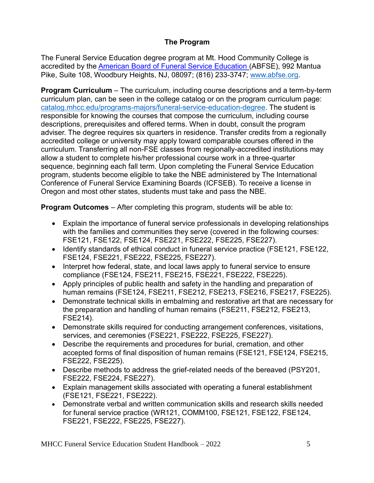# **The Program**

The Funeral Service Education degree program at Mt. Hood Community College is accredited by the [American Board of Funeral Service Education \(](http://www.abfse.org/)ABFSE), 992 Mantua Pike, Suite 108, Woodbury Heights, NJ, 08097; (816) 233-3747; [www.abfse.org.](http://www.abfse.org/)

**Program Curriculum** – The curriculum, including course descriptions and a term-by-term curriculum plan, can be seen in the college catalog or on the program curriculum page: [catalog.mhcc.edu/programs-majors/funeral-service-education-degree.](https://catalog.mhcc.edu/programs-majors/funeral-service-education-degree) The student is responsible for knowing the courses that compose the curriculum, including course descriptions, prerequisites and offered terms. When in doubt, consult the program adviser. The degree requires six quarters in residence. Transfer credits from a regionally accredited college or university may apply toward comparable courses offered in the curriculum. Transferring all non-FSE classes from regionally-accredited institutions may allow a student to complete his/her professional course work in a three-quarter sequence, beginning each fall term. Upon completing the Funeral Service Education program, students become eligible to take the NBE administered by The International Conference of Funeral Service Examining Boards (ICFSEB). To receive a license in Oregon and most other states, students must take and pass the NBE.

**Program Outcomes** – After completing this program, students will be able to:

- Explain the importance of funeral service professionals in developing relationships with the families and communities they serve (covered in the following courses: FSE121, FSE122, FSE124, FSE221, FSE222, FSE225, FSE227).
- Identify standards of ethical conduct in funeral service practice (FSE121, FSE122, FSE124, FSE221, FSE222, FSE225, FSE227).
- Interpret how federal, state, and local laws apply to funeral service to ensure compliance (FSE124, FSE211, FSE215, FSE221, FSE222, FSE225).
- Apply principles of public health and safety in the handling and preparation of human remains (FSE124, FSE211, FSE212, FSE213, FSE216, FSE217, FSE225).
- Demonstrate technical skills in embalming and restorative art that are necessary for the preparation and handling of human remains (FSE211, FSE212, FSE213, FSE214).
- Demonstrate skills required for conducting arrangement conferences, visitations, services, and ceremonies (FSE221, FSE222, FSE225, FSE227).
- Describe the requirements and procedures for burial, cremation, and other accepted forms of final disposition of human remains (FSE121, FSE124, FSE215, FSE222, FSE225).
- Describe methods to address the grief-related needs of the bereaved (PSY201, FSE222, FSE224, FSE227).
- Explain management skills associated with operating a funeral establishment (FSE121, FSE221, FSE222).
- Demonstrate verbal and written communication skills and research skills needed for funeral service practice (WR121, COMM100, FSE121, FSE122, FSE124, FSE221, FSE222, FSE225, FSE227).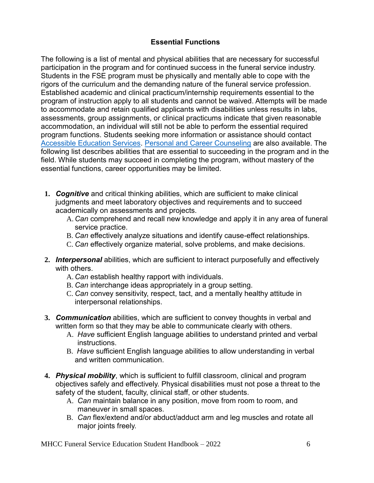# **Essential Functions**

The following is a list of mental and physical abilities that are necessary for successful participation in the program and for continued success in the funeral service industry. Students in the FSE program must be physically and mentally able to cope with the rigors of the curriculum and the demanding nature of the funeral service profession. Established academic and clinical practicum/internship requirements essential to the program of instruction apply to all students and cannot be waived. Attempts will be made to accommodate and retain qualified applicants with disabilities unless results in labs, assessments, group assignments, or clinical practicums indicate that given reasonable accommodation, an individual will still not be able to perform the essential required program functions. Students seeking more information or assistance should contact [Accessible Education Services.](https://www.mhcc.edu/AES/) [Personal and Career Counseling](https://www.mhcc.edu/CareerCenter/) are also available. The following list describes abilities that are essential to succeeding in the program and in the field. While students may succeed in completing the program, without mastery of the essential functions, career opportunities may be limited.

- **1.** *Cognitive* and critical thinking abilities, which are sufficient to make clinical judgments and meet laboratory objectives and requirements and to succeed academically on assessments and projects.
	- A. *Can* comprehend and recall new knowledge and apply it in any area of funeral service practice.
	- B. *Can* effectively analyze situations and identify cause-effect relationships.
	- C. *Can* effectively organize material, solve problems, and make decisions.
- **2.** *Interpersonal* abilities, which are sufficient to interact purposefully and effectively with others.
	- A. *Can* establish healthy rapport with individuals.
	- B. *Can* interchange ideas appropriately in a group setting.
	- C. *Can* convey sensitivity, respect, tact, and a mentally healthy attitude in interpersonal relationships.
- **3.** *Communication* abilities, which are sufficient to convey thoughts in verbal and written form so that they may be able to communicate clearly with others.
	- A. *Have* sufficient English language abilities to understand printed and verbal instructions.
	- B. *Have* sufficient English language abilities to allow understanding in verbal and written communication.
- **4.** *Physical mobility*, which is sufficient to fulfill classroom, clinical and program objectives safely and effectively. Physical disabilities must not pose a threat to the safety of the student, faculty, clinical staff, or other students.
	- A. *Can* maintain balance in any position, move from room to room, and maneuver in small spaces.
	- B. *Can* flex/extend and/or abduct/adduct arm and leg muscles and rotate all major joints freely.

MHCC Funeral Service Education Student Handbook – 2022 6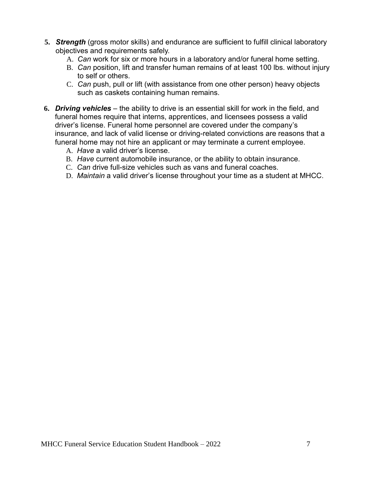- **5.** *Strength* (gross motor skills) and endurance are sufficient to fulfill clinical laboratory objectives and requirements safely.
	- A. *Can* work for six or more hours in a laboratory and/or funeral home setting.
	- B. *Can* position, lift and transfer human remains of at least 100 lbs. without injury to self or others.
	- C. *Can* push, pull or lift (with assistance from one other person) heavy objects such as caskets containing human remains.
- **6.** *Driving vehicles*  the ability to drive is an essential skill for work in the field, and funeral homes require that interns, apprentices, and licensees possess a valid driver's license. Funeral home personnel are covered under the company's insurance, and lack of valid license or driving-related convictions are reasons that a funeral home may not hire an applicant or may terminate a current employee.
	- A. *Have* a valid driver's license.
	- B. *Have* current automobile insurance, or the ability to obtain insurance.
	- C. *Can* drive full-size vehicles such as vans and funeral coaches.
	- D. *Maintain* a valid driver's license throughout your time as a student at MHCC.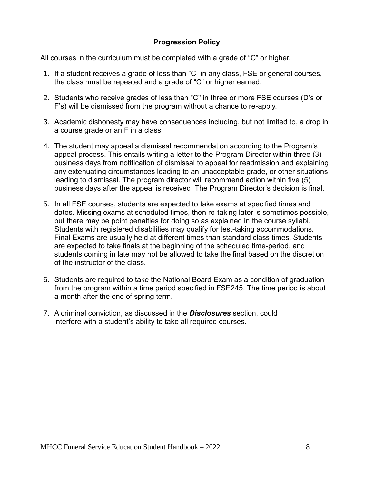## **Progression Policy**

All courses in the curriculum must be completed with a grade of "C" or higher.

- 1. If a student receives a grade of less than "C" in any class, FSE or general courses, the class must be repeated and a grade of "C" or higher earned.
- 2. Students who receive grades of less than "C" in three or more FSE courses (D's or F's) will be dismissed from the program without a chance to re-apply.
- 3. Academic dishonesty may have consequences including, but not limited to, a drop in a course grade or an F in a class.
- 4. The student may appeal a dismissal recommendation according to the Program's appeal process. This entails writing a letter to the Program Director within three (3) business days from notification of dismissal to appeal for readmission and explaining any extenuating circumstances leading to an unacceptable grade, or other situations leading to dismissal. The program director will recommend action within five (5) business days after the appeal is received. The Program Director's decision is final.
- 5. In all FSE courses, students are expected to take exams at specified times and dates. Missing exams at scheduled times, then re-taking later is sometimes possible, but there may be point penalties for doing so as explained in the course syllabi. Students with registered disabilities may qualify for test-taking accommodations. Final Exams are usually held at different times than standard class times. Students are expected to take finals at the beginning of the scheduled time-period, and students coming in late may not be allowed to take the final based on the discretion of the instructor of the class.
- 6. Students are required to take the National Board Exam as a condition of graduation from the program within a time period specified in FSE245. The time period is about a month after the end of spring term.
- 7. A criminal conviction, as discussed in the *Disclosures* section, could interfere with a student's ability to take all required courses.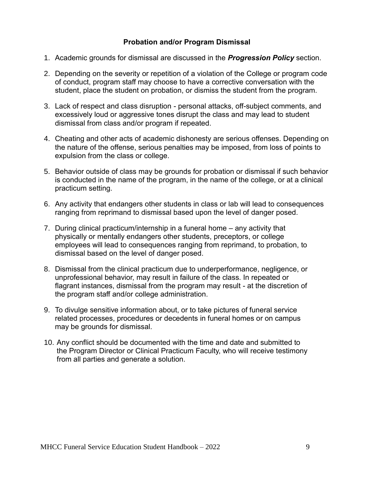#### **Probation and/or Program Dismissal**

- 1. Academic grounds for dismissal are discussed in the *Progression Policy* section.
- 2. Depending on the severity or repetition of a violation of the College or program code of conduct, program staff may choose to have a corrective conversation with the student, place the student on probation, or dismiss the student from the program.
- 3. Lack of respect and class disruption personal attacks, off-subject comments, and excessively loud or aggressive tones disrupt the class and may lead to student dismissal from class and/or program if repeated.
- 4. Cheating and other acts of academic dishonesty are serious offenses. Depending on the nature of the offense, serious penalties may be imposed, from loss of points to expulsion from the class or college.
- 5. Behavior outside of class may be grounds for probation or dismissal if such behavior is conducted in the name of the program, in the name of the college, or at a clinical practicum setting.
- 6. Any activity that endangers other students in class or lab will lead to consequences ranging from reprimand to dismissal based upon the level of danger posed.
- 7. During clinical practicum/internship in a funeral home any activity that physically or mentally endangers other students, preceptors, or college employees will lead to consequences ranging from reprimand, to probation, to dismissal based on the level of danger posed.
- 8. Dismissal from the clinical practicum due to underperformance, negligence, or unprofessional behavior, may result in failure of the class. In repeated or flagrant instances, dismissal from the program may result - at the discretion of the program staff and/or college administration.
- 9. To divulge sensitive information about, or to take pictures of funeral service related processes, procedures or decedents in funeral homes or on campus may be grounds for dismissal.
- 10. Any conflict should be documented with the time and date and submitted to the Program Director or Clinical Practicum Faculty, who will receive testimony from all parties and generate a solution.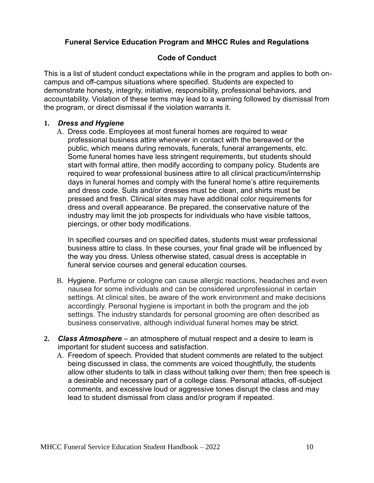## **Funeral Service Education Program and MHCC Rules and Regulations**

#### **Code of Conduct**

This is a list of student conduct expectations while in the program and applies to both oncampus and off-campus situations where specified. Students are expected to demonstrate honesty, integrity, initiative, responsibility, professional behaviors, and accountability. Violation of these terms may lead to a warning followed by dismissal from the program, or direct dismissal if the violation warrants it.

#### **1.** *Dress and Hygiene*

A. Dress code. Employees at most funeral homes are required to wear professional business attire whenever in contact with the bereaved or the public, which means during removals, funerals, funeral arrangements, etc. Some funeral homes have less stringent requirements, but students should start with formal attire, then modify according to company policy. Students are required to wear professional business attire to all clinical practicum/internship days in funeral homes and comply with the funeral home's attire requirements and dress code. Suits and/or dresses must be clean, and shirts must be pressed and fresh. Clinical sites may have additional color requirements for dress and overall appearance. Be prepared, the conservative nature of the industry may limit the job prospects for individuals who have visible tattoos, piercings, or other body modifications.

In specified courses and on specified dates, students must wear professional business attire to class. In these courses, your final grade will be influenced by the way you dress. Unless otherwise stated, casual dress is acceptable in funeral service courses and general education courses.

- B. Hygiene. Perfume or cologne can cause allergic reactions, headaches and even nausea for some individuals and can be considered unprofessional in certain settings. At clinical sites, be aware of the work environment and make decisions accordingly. Personal hygiene is important in both the program and the job settings. The industry standards for personal grooming are often described as business conservative, although individual funeral homes may be strict.
- **2.** *Class Atmosphere*  an atmosphere of mutual respect and a desire to learn is important for student success and satisfaction.
	- A. Freedom of speech. Provided that student comments are related to the subject being discussed in class, the comments are voiced thoughtfully, the students allow other students to talk in class without talking over them; then free speech is a desirable and necessary part of a college class. Personal attacks, off-subject comments, and excessive loud or aggressive tones disrupt the class and may lead to student dismissal from class and/or program if repeated.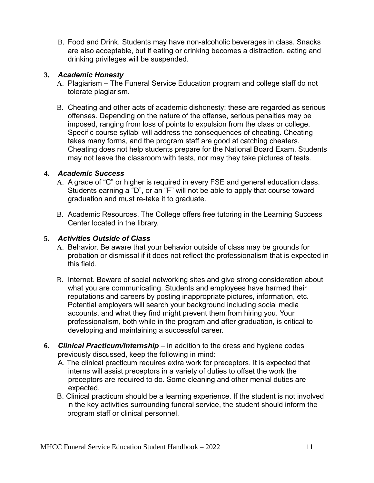B. Food and Drink. Students may have non-alcoholic beverages in class. Snacks are also acceptable, but if eating or drinking becomes a distraction, eating and drinking privileges will be suspended.

#### **3.** *Academic Honesty*

- A. Plagiarism The Funeral Service Education program and college staff do not tolerate plagiarism.
- B. Cheating and other acts of academic dishonesty: these are regarded as serious offenses. Depending on the nature of the offense, serious penalties may be imposed, ranging from loss of points to expulsion from the class or college. Specific course syllabi will address the consequences of cheating. Cheating takes many forms, and the program staff are good at catching cheaters. Cheating does not help students prepare for the National Board Exam. Students may not leave the classroom with tests, nor may they take pictures of tests.

#### **4.** *Academic Success*

- A. A grade of "C" or higher is required in every FSE and general education class. Students earning a "D", or an "F" will not be able to apply that course toward graduation and must re-take it to graduate.
- B. Academic Resources. The College offers free tutoring in the Learning Success Center located in the library.

## **5.** *Activities Outside of Class*

- A. Behavior. Be aware that your behavior outside of class may be grounds for probation or dismissal if it does not reflect the professionalism that is expected in this field.
- B. Internet. Beware of social networking sites and give strong consideration about what you are communicating. Students and employees have harmed their reputations and careers by posting inappropriate pictures, information, etc. Potential employers will search your background including social media accounts, and what they find might prevent them from hiring you. Your professionalism, both while in the program and after graduation, is critical to developing and maintaining a successful career.
- **6.** *Clinical Practicum/Internship*  in addition to the dress and hygiene codes previously discussed, keep the following in mind:
	- A. The clinical practicum requires extra work for preceptors. It is expected that interns will assist preceptors in a variety of duties to offset the work the preceptors are required to do. Some cleaning and other menial duties are expected.
	- B. Clinical practicum should be a learning experience. If the student is not involved in the key activities surrounding funeral service, the student should inform the program staff or clinical personnel.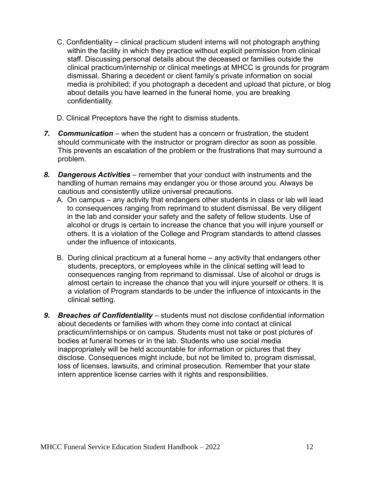- C. Confidentiality clinical practicum student interns will not photograph anything within the facility in which they practice without explicit permission from clinical staff. Discussing personal details about the deceased or families outside the clinical practicum/internship or clinical meetings at MHCC is grounds for program dismissal. Sharing a decedent or client family's private information on social media is prohibited; if you photograph a decedent and upload that picture, or blog about details you have learned in the funeral home, you are breaking confidentiality.
- D. Clinical Preceptors have the right to dismiss students.
- **7. Communication** when the student has a concern or frustration, the student should communicate with the instructor or program director as soon as possible. This prevents an escalation of the problem or the frustrations that may surround a problem.
- *8. Dangerous Activities*  remember that your conduct with instruments and the handling of human remains may endanger you or those around you. Always be cautious and consistently utilize universal precautions.
	- A. On campus any activity that endangers other students in class or lab will lead to consequences ranging from reprimand to student dismissal. Be very diligent in the lab and consider your safety and the safety of fellow students. Use of alcohol or drugs is certain to increase the chance that you will injure yourself or others. It is a violation of the College and Program standards to attend classes under the influence of intoxicants.
	- B. During clinical practicum at a funeral home any activity that endangers other students, preceptors, or employees while in the clinical setting will lead to consequences ranging from reprimand to dismissal. Use of alcohol or drugs is almost certain to increase the chance that you will injure yourself or others. It is a violation of Program standards to be under the influence of intoxicants in the clinical setting.
- **9. Breaches of Confidentiality** students must not disclose confidential information about decedents or families with whom they come into contact at clinical practicum/internships or on campus. Students must not take or post pictures of bodies at funeral homes or in the lab. Students who use social media inappropriately will be held accountable for information or pictures that they disclose. Consequences might include, but not be limited to, program dismissal, loss of licenses, lawsuits, and criminal prosecution. Remember that your state intern apprentice license carries with it rights and responsibilities.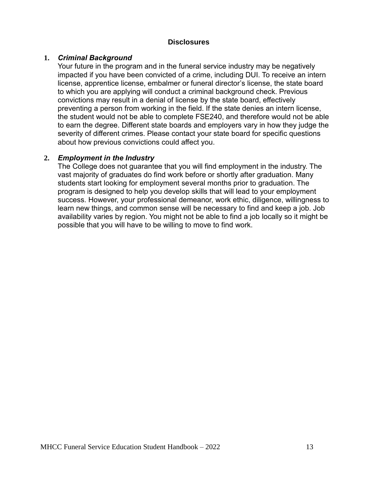#### **Disclosures**

#### **1.** *Criminal Background*

Your future in the program and in the funeral service industry may be negatively impacted if you have been convicted of a crime, including DUI. To receive an intern license, apprentice license, embalmer or funeral director's license, the state board to which you are applying will conduct a criminal background check. Previous convictions may result in a denial of license by the state board, effectively preventing a person from working in the field. If the state denies an intern license, the student would not be able to complete FSE240, and therefore would not be able to earn the degree. Different state boards and employers vary in how they judge the severity of different crimes. Please contact your state board for specific questions about how previous convictions could affect you.

#### **2.** *Employment in the Industry*

The College does not guarantee that you will find employment in the industry. The vast majority of graduates do find work before or shortly after graduation. Many students start looking for employment several months prior to graduation. The program is designed to help you develop skills that will lead to your employment success. However, your professional demeanor, work ethic, diligence, willingness to learn new things, and common sense will be necessary to find and keep a job. Job availability varies by region. You might not be able to find a job locally so it might be possible that you will have to be willing to move to find work.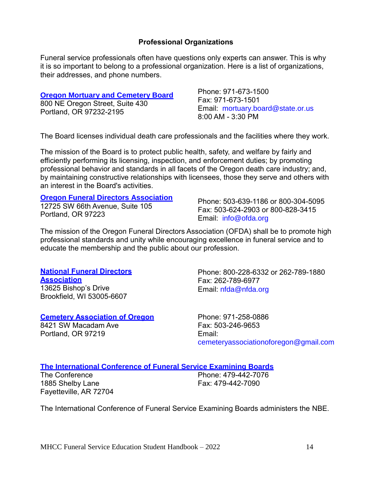#### **Professional Organizations**

Funeral service professionals often have questions only experts can answer. This is why it is so important to belong to a professional organization. Here is a list of organizations, their addresses, and phone numbers.

|  | <b>Oregon Mortuary and Cemetery Board</b> |  |
|--|-------------------------------------------|--|
|  |                                           |  |

800 NE Oregon Street, Suite 430 Portland, OR 97232-2195

Phone: 971-673-1500 Fax: 971-673-1501 Email: [mortuary.board@state.or.us](mailto:mortuary.board@state.or.us) 8:00 AM - 3:30 PM

The Board licenses individual death care professionals and the facilities where they work.

The mission of the Board is to protect public health, safety, and welfare by fairly and efficiently performing its licensing, inspection, and enforcement duties; by promoting professional behavior and standards in all facets of the Oregon death care industry; and, by maintaining constructive relationships with licensees, those they serve and others with an interest in the Board's activities.

#### **[Oregon Funeral Directors Association](https://www.ofda.org/)**

12725 SW 66th Avenue, Suite 105 Portland, OR 97223

Phone: 503-639-1186 or 800-304-5095 Fax: 503-624-2903 or 800-828-3415 Email: [info@ofda.org](mailto:info@ofda.org)

The mission of the Oregon Funeral Directors Association (OFDA) shall be to promote high professional standards and unity while encouraging excellence in funeral service and to educate the membership and the public about our profession.

# **[National Funeral Directors](http://www.nfda.org/)**

**[Association](http://www.nfda.org/)** 13625 Bishop's Drive Brookfield, WI 53005-6607

**[Cemetery Association of Oregon](http://oregoncemeteries.com/)**

8421 SW Macadam Ave Portland, OR 97219

Phone: 800-228-6332 or 262-789-1880 Fax: 262-789-6977 Email: [nfda@nfda.org](mailto:nfda@nfda.org)

Phone: 971-258-0886 Fax: 503-246-9653 Email: [cemeteryassociationoforegon@gmail.com](mailto:cemeteryassociationoforegon@gmail.com)

## **[The International Conference of Funeral Service Examining Boards](https://theconferenceonline.org/)**

The Conference 1885 Shelby Lane Fayetteville, AR 72704 Phone: 479-442-7076 Fax: 479-442-7090

The International Conference of Funeral Service Examining Boards administers the NBE.

MHCC Funeral Service Education Student Handbook – 2022 14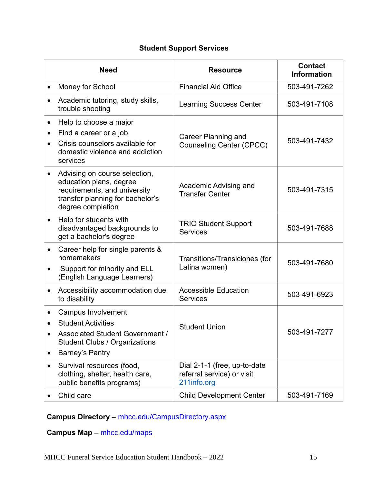# **Student Support Services**

| <b>Need</b>            |                                                                                                                                                      | <b>Resource</b>                                                           | <b>Contact</b><br><b>Information</b> |  |
|------------------------|------------------------------------------------------------------------------------------------------------------------------------------------------|---------------------------------------------------------------------------|--------------------------------------|--|
| ٠                      | <b>Money for School</b>                                                                                                                              | <b>Financial Aid Office</b>                                               | 503-491-7262                         |  |
|                        | Academic tutoring, study skills,<br>trouble shooting                                                                                                 | <b>Learning Success Center</b>                                            | 503-491-7108                         |  |
| $\bullet$<br>$\bullet$ | Help to choose a major<br>Find a career or a job<br>Crisis counselors available for<br>domestic violence and addiction<br>services                   | <b>Career Planning and</b><br><b>Counseling Center (CPCC)</b>             | 503-491-7432                         |  |
|                        | Advising on course selection,<br>education plans, degree<br>requirements, and university<br>transfer planning for bachelor's<br>degree completion    | Academic Advising and<br><b>Transfer Center</b>                           | 503-491-7315                         |  |
| $\bullet$              | Help for students with<br>disadvantaged backgrounds to<br>get a bachelor's degree                                                                    | <b>TRIO Student Support</b><br><b>Services</b>                            | 503-491-7688                         |  |
| $\bullet$              | Career help for single parents &<br>homemakers<br>Support for minority and ELL<br>(English Language Learners)                                        | Transitions/Transiciones (for<br>Latina women)                            | 503-491-7680                         |  |
| $\bullet$              | Accessibility accommodation due<br>to disability                                                                                                     | <b>Accessible Education</b><br><b>Services</b>                            | 503-491-6923                         |  |
| ٠                      | <b>Campus Involvement</b><br><b>Student Activities</b><br>Associated Student Government /<br><b>Student Clubs / Organizations</b><br>Barney's Pantry | <b>Student Union</b>                                                      | 503-491-7277                         |  |
| $\bullet$              | Survival resources (food,<br>clothing, shelter, health care,<br>public benefits programs)                                                            | Dial 2-1-1 (free, up-to-date<br>referral service) or visit<br>211info.org |                                      |  |
|                        | Child care                                                                                                                                           | <b>Child Development Center</b>                                           | 503-491-7169                         |  |

# **Campus Directory** – [mhcc.edu/CampusDirectory.aspx](http://www.mhcc.edu/CampusDirectory.aspx)

# **Campus Map –** [mhcc.edu/maps](https://www.mhcc.edu/maps/)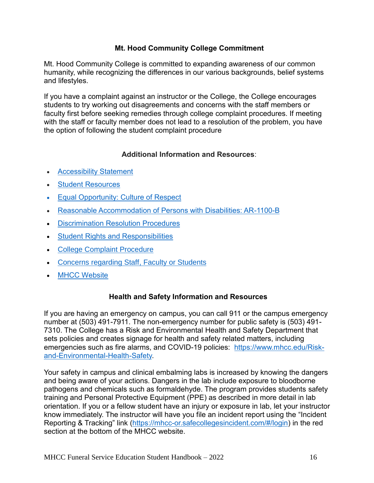## **Mt. Hood Community College Commitment**

Mt. Hood Community College is committed to expanding awareness of our common humanity, while recognizing the differences in our various backgrounds, belief systems and lifestyles.

If you have a complaint against an instructor or the College, the College encourages students to try working out disagreements and concerns with the staff members or faculty first before seeking remedies through college complaint procedures. If meeting with the staff or faculty member does not lead to a resolution of the problem, you have the option of following the student complaint procedure

#### **Additional Information and Resources**:

- [Accessibility Statement](http://www.mhcc.edu/AccessibilityStatement)
- [Student Resources](https://www.mhcc.edu/StudentResources/)
- [Equal Opportunity: Culture of Respect](http://www.mhcc.edu/BP-1100/)
- [Reasonable Accommodation of Persons with Disabilities: AR-1100-B](http://www.mhcc.edu/AR-1100-B/)
- [Discrimination Resolution Procedures](http://www.mhcc.edu/DiscriminationResolutionProcedures/)
- [Student Rights and Responsibilities](http://www.mhcc.edu/StudentRightsandResponsibilities)
- [College Complaint Procedure](https://www.mhcc.edu/AR-7040-B/)
- [Concerns regarding Staff, Faculty or Students](https://cm.maxient.com/reportingform.php?MtHoodCC&layout_id=0)
- [MHCC Website](https://mhcc.edu/)

## **Health and Safety Information and Resources**

If you are having an emergency on campus, you can call 911 or the campus emergency number at (503) 491-7911. The non-emergency number for public safety is (503) 491- 7310. The College has a Risk and Environmental Health and Safety Department that sets policies and creates signage for health and safety related matters, including emergencies such as fire alarms, and COVID-19 policies: [https://www.mhcc.edu/Risk](https://www.mhcc.edu/Risk-and-Environmental-Health-Safety/)[and-Environmental-Health-Safety.](https://www.mhcc.edu/Risk-and-Environmental-Health-Safety/)

Your safety in campus and clinical embalming labs is increased by knowing the dangers and being aware of your actions. Dangers in the lab include exposure to bloodborne pathogens and chemicals such as formaldehyde. The program provides students safety training and Personal Protective Equipment (PPE) as described in more detail in lab orientation. If you or a fellow student have an injury or exposure in lab, let your instructor know immediately. The instructor will have you file an incident report using the "Incident Reporting & Tracking" link [\(https://mhcc-or.safecollegesincident.com/#/login\)](https://mhcc-or.safecollegesincident.com/#/login) in the red section at the bottom of the MHCC website.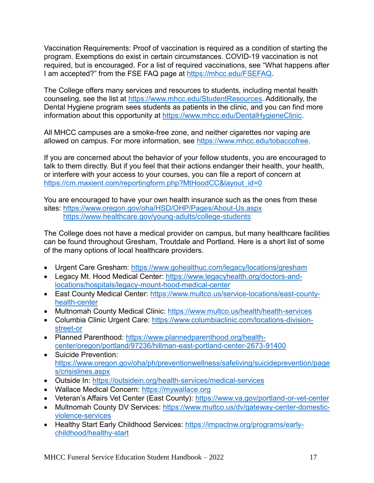Vaccination Requirements: Proof of vaccination is required as a condition of starting the program. Exemptions do exist in certain circumstances. COVID-19 vaccination is not required, but is encouraged. For a list of required vaccinations, see "What happens after I am accepted?" from the FSE FAQ page at [https://mhcc.edu/FSEFAQ.](https://mhcc.edu/FSEFAQ)

The College offers many services and resources to students, including mental health counseling, see the list at [https://www.mhcc.edu/StudentResources.](https://www.mhcc.edu/StudentResources/) Additionally, the Dental Hygiene program sees students as patients in the clinic, and you can find more information about this opportunity at [https://www.mhcc.edu/DentalHygieneClinic.](https://www.mhcc.edu/DentalHygieneClinic)

All MHCC campuses are a smoke-free zone, and neither cigarettes nor vaping are allowed on campus. For more information, see [https://www.mhcc.edu/tobaccofree.](https://www.mhcc.edu/tobaccofree)

If you are concerned about the behavior of your fellow students, you are encouraged to talk to them directly. But if you feel that their actions endanger their health, your health, or interfere with your access to your courses, you can file a report of concern at [https://cm.maxient.com/reportingform.php?MtHoodCC&layout\\_id=0](https://cm.maxient.com/reportingform.php?MtHoodCC&layout_id=0)

You are encouraged to have your own health insurance such as the ones from these sites: <https://www.oregon.gov/oha/HSD/OHP/Pages/About-Us.aspx> <https://www.healthcare.gov/young-adults/college-students>

The College does not have a medical provider on campus, but many healthcare facilities can be found throughout Gresham, Troutdale and Portland. Here is a short list of some of the many options of local healthcare providers.

- Urgent Care Gresham:<https://www.gohealthuc.com/legacy/locations/gresham>
- Legacy Mt. Hood Medical Center: [https://www.legacyhealth.org/doctors-and](https://www.legacyhealth.org/doctors-and-locations/hospitals/legacy-mount-hood-medical-center)[locations/hospitals/legacy-mount-hood-medical-center](https://www.legacyhealth.org/doctors-and-locations/hospitals/legacy-mount-hood-medical-center)
- East County Medical Center: [https://www.multco.us/service-locations/east-county](https://www.multco.us/service-locations/east-county-health-center)[health-center](https://www.multco.us/service-locations/east-county-health-center)
- Multnomah County Medical Clinic:<https://www.multco.us/health/health-services>
- Columbia Clinic Urgent Care: [https://www.columbiaclinic.com/locations-division](https://www.columbiaclinic.com/locations-division-street-or)[street-or](https://www.columbiaclinic.com/locations-division-street-or)
- Planned Parenthood: [https://www.plannedparenthood.org/health](https://www.plannedparenthood.org/health-center/oregon/portland/97236/hillman-east-portland-center-2673-91400)[center/oregon/portland/97236/hillman-east-portland-center-2673-91400](https://www.plannedparenthood.org/health-center/oregon/portland/97236/hillman-east-portland-center-2673-91400)
- Suicide Prevention: [https://www.oregon.gov/oha/ph/preventionwellness/safeliving/suicideprevention/page](https://www.oregon.gov/oha/ph/preventionwellness/safeliving/suicideprevention/pages/crisislines.aspx) [s/crisislines.aspx](https://www.oregon.gov/oha/ph/preventionwellness/safeliving/suicideprevention/pages/crisislines.aspx)
- Outside In: [https://outsidein.org/health-services/medical-services](https://outsidein.org/health-services/medical-services/)
- Wallace Medical Concern: [https://mywallace.org](https://mywallace.org/)
- Veteran's Affairs Vet Center (East County): [https://www.va.gov/portland-or-vet-center](https://www.va.gov/portland-or-vet-center/)
- Multnomah County DV Services: [https://www.multco.us/dv/gateway-center-domestic](https://www.multco.us/dv/gateway-center-domestic-violence-services)[violence-services](https://www.multco.us/dv/gateway-center-domestic-violence-services)
- Healthy Start Early Childhood Services: [https://impactnw.org/programs/early](https://impactnw.org/programs/early-childhood/healthy-start/)[childhood/healthy-start](https://impactnw.org/programs/early-childhood/healthy-start/)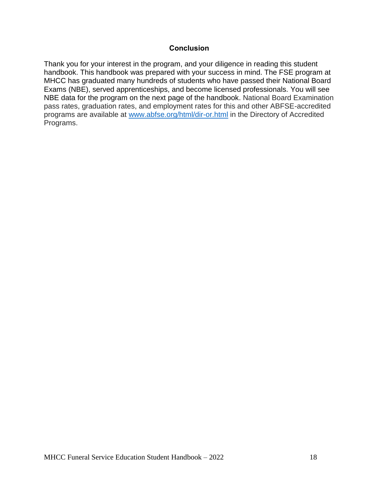#### **Conclusion**

Thank you for your interest in the program, and your diligence in reading this student handbook. This handbook was prepared with your success in mind. The FSE program at MHCC has graduated many hundreds of students who have passed their National Board Exams (NBE), served apprenticeships, and become licensed professionals. You will see NBE data for the program on the next page of the handbook. National Board Examination pass rates, graduation rates, and employment rates for this and other ABFSE-accredited programs are available at [www.abfse.org/html/dir-or.html](http://www.abfse.org/html/dir-or.html) in the Directory of Accredited Programs.